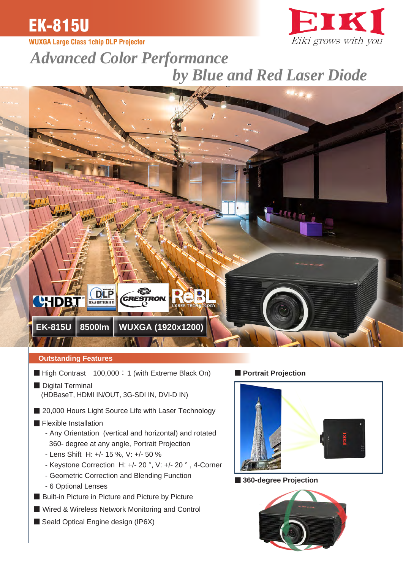

# **WUXGA Large Class 1chip DLP Projector**



# *Advanced Color Performance by Blue and Red Laser Diode*



## **Outstanding Features**

- High Contrast 100,000 : 1 (with Extreme Black On)
- **■** Digital Terminal (HDBaseT, HDMI IN/OUT, 3G-SDI IN, DVI-D IN)
- 20,000 Hours Light Source Life with Laser Technology

#### ■ Flexible Installation

- Any Orientation (vertical and horizontal) and rotated 360- degree at any angle, Portrait Projection
- Lens Shift H: +/- 15 %, V: +/- 50 %
- Keystone Correction H: +/- 20 °, V: +/- 20 ° , 4-Corner
- Geometric Correction and Blending Function
- 6 Optional Lenses
- Built-in Picture in Picture and Picture by Picture
- Wired & Wireless Network Monitoring and Control
- Seald Optical Engine design (IP6X)

## **■ Portrait Projection**



## ■ **360-degree Projection**